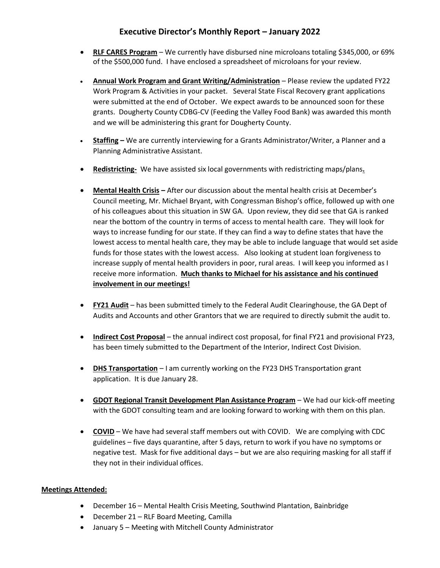## **Executive Director's Monthly Report – January 2022**

- **RLF CARES Program** We currently have disbursed nine microloans totaling \$345,000, or 69% of the \$500,000 fund. I have enclosed a spreadsheet of microloans for your review.
- **Annual Work Program and Grant Writing/Administration** Please review the updated FY22 Work Program & Activities in your packet. Several State Fiscal Recovery grant applications were submitted at the end of October. We expect awards to be announced soon for these grants. Dougherty County CDBG-CV (Feeding the Valley Food Bank) was awarded this month and we will be administering this grant for Dougherty County.
- **Staffing –** We are currently interviewing for a Grants Administrator/Writer, a Planner and a Planning Administrative Assistant.
- **Redistricting-** We have assisted six local governments with redistricting maps/plans**.**
- **Mental Health Crisis –** After our discussion about the mental health crisis at December's Council meeting, Mr. Michael Bryant, with Congressman Bishop's office, followed up with one of his colleagues about this situation in SW GA. Upon review, they did see that GA is ranked near the bottom of the country in terms of access to mental health care. They will look for ways to increase funding for our state. If they can find a way to define states that have the lowest access to mental health care, they may be able to include language that would set aside funds for those states with the lowest access. Also looking at student loan forgiveness to increase supply of mental health providers in poor, rural areas. I will keep you informed as I receive more information. **Much thanks to Michael for his assistance and his continued involvement in our meetings!**
- **FY21 Audit** has been submitted timely to the Federal Audit Clearinghouse, the GA Dept of Audits and Accounts and other Grantors that we are required to directly submit the audit to.
- **Indirect Cost Proposal** the annual indirect cost proposal, for final FY21 and provisional FY23, has been timely submitted to the Department of the Interior, Indirect Cost Division.
- **DHS Transportation** I am currently working on the FY23 DHS Transportation grant application. It is due January 28.
- **GDOT Regional Transit Development Plan Assistance Program** We had our kick-off meeting with the GDOT consulting team and are looking forward to working with them on this plan.
- **COVID** We have had several staff members out with COVID. We are complying with CDC guidelines – five days quarantine, after 5 days, return to work if you have no symptoms or negative test. Mask for five additional days – but we are also requiring masking for all staff if they not in their individual offices.

## **Meetings Attended:**

- December 16 Mental Health Crisis Meeting, Southwind Plantation, Bainbridge
- December 21 RLF Board Meeting, Camilla
- January 5 Meeting with Mitchell County Administrator